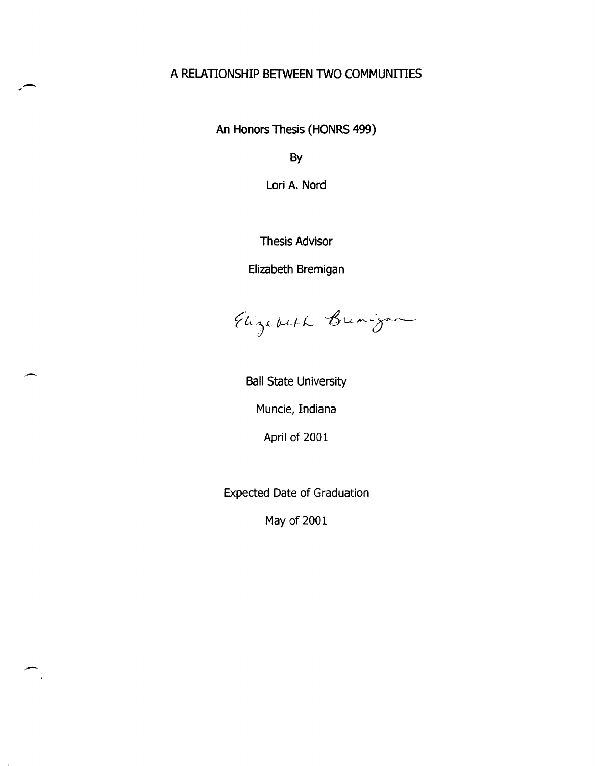# A RELATIONSHIP BETWEEN TWO COMMUNITIES

 $\left($ 

 $\overline{\phantom{0}}$ 

-

An Honors Thesis (HONRS 499)

By

Lori A. Nord

Thesis Advisor

Elizabeth Bremigan

Elizabeth Bunigar

Ball State University

Muncie, Indiana

April of 2001

Expected Date of Graduation

May of 2001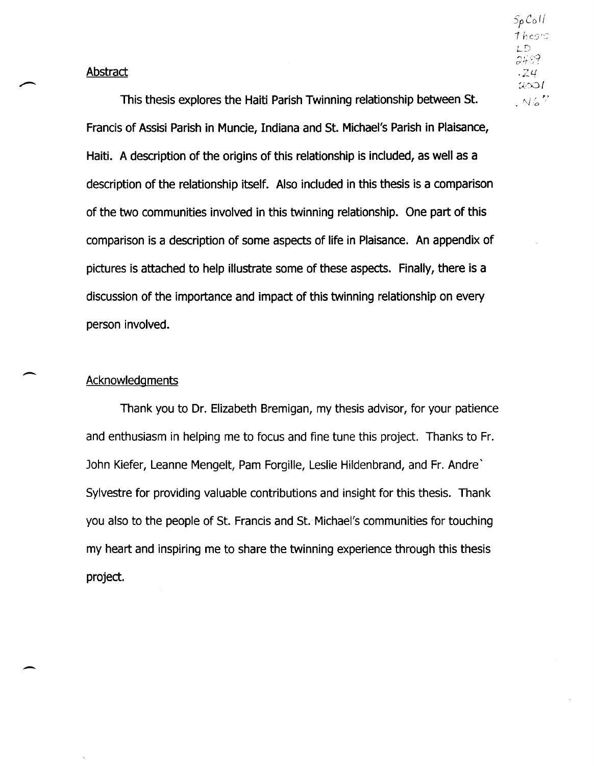This thesis explores the Haiti Parish Twinning relationship between st. Francis of Assisi Parish in Muncie, Indiana and St. Michael's Parish in Plaisance, Haiti. A description of the origins of this relationship is included, as well as a description of the relationship itself. Also included in this thesis is a comparison of the two communities involved in this twinning relationship. One part of this comparison is a description of some aspects of life in Plaisance. An appendix of pictures is attached to help illustrate some of these aspects. Finally, there is a discussion of the importance and impact of this twinning relationship on every person involved.

## **Acknowledgments**

-

Thank you to Dr. Elizabeth Bremigan, my thesis advisor, for your patience and enthusiasm in helping me to focus and fine tune this project. Thanks to Fr. John Kiefer, Leanne Mengelt, Pam Forgille, Leslie Hildenbrand, and Fr. Andre' Sylvestre for providing valuable contributions and insight for this thesis. Thank you also to the people of St. Francis and St. Michael's communities for touching my heart and inspiring me to share the twinning experience through this thesis project.

 $S_{p}$ Coll  $The$ LD 2489 .Z4  $2001$  $N67$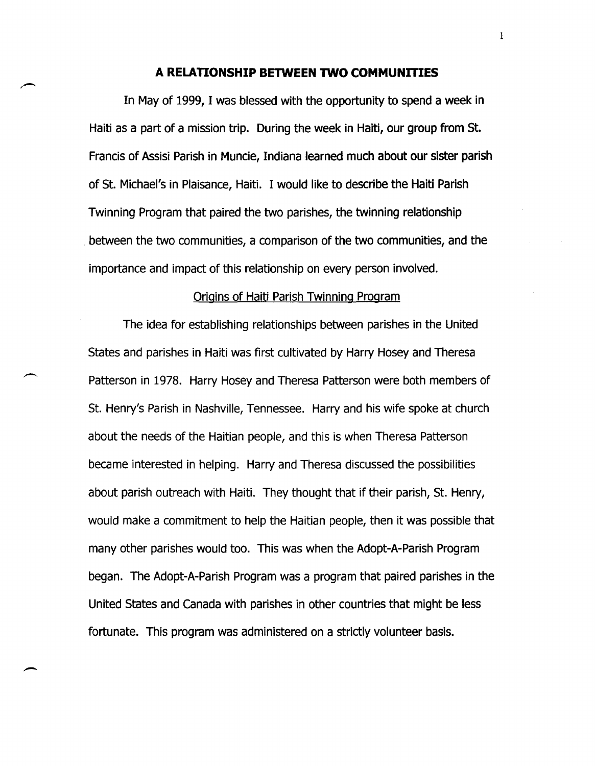#### **A RELATIONSHIP BETWEEN TWO COMMUNITIES**

In May of 1999, I was blessed with the opportunity to spend a week in Haiti as a part of a mission trip. During the week in Haiti, our group from St. Francis of Assisi Parish in Muncie, Indiana learned much about our sister parish of St. Michael's in Plaisance, Haiti. I would like to describe the Haiti Parish Twinning Program that paired the two parishes, the twinning relationship between the two communities, a comparison of the two communities, and the importance and impact of this relationship on every person involved.

#### Origins of Haiti Parish Twinning Program

The idea for establishing relationships between parishes in the United States and parishes in Haiti was first cultivated by Harry Hosey and Theresa Patterson in 1978. Harry Hosey and Theresa Patterson were both members of St. Henry's Parish in Nashville, Tennessee. Harry and his wife spoke at church about the needs of the Haitian people, and this is when Theresa Patterson became interested in helping. Harry and Theresa discussed the possibilities about parish outreach with Haiti. They thought that if their parish, St. Henry, would make a commitment to help the Haitian people, then it was possible that many other parishes would too. This was when the Adopt-A-Parish Program began. The Adopt-A-Parish Program was a program that paired parishes in the United States and Canada with parishes in other countries that might be less fortunate. This program was administered on a strictly volunteer basis.

--

-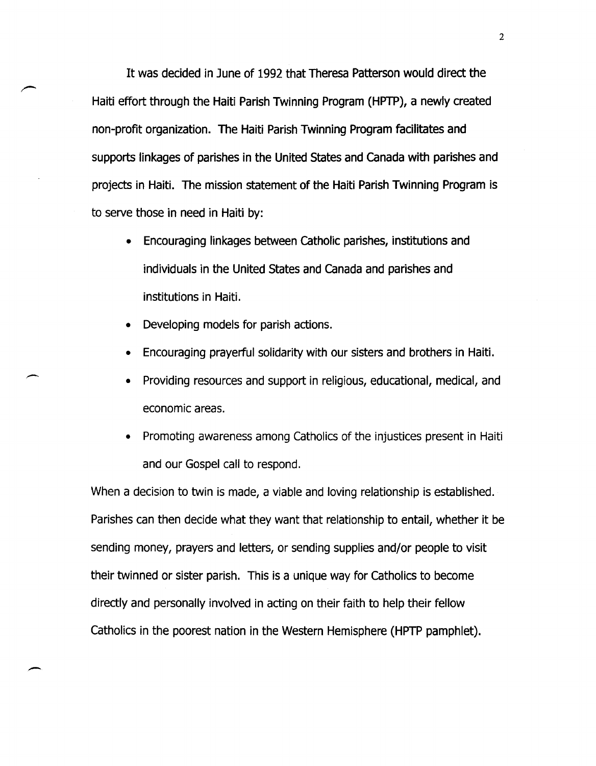It was decided in June of 1992 that Theresa Patterson would direct the Haiti effort through the Haiti Parish Twinning Program (HPTP), a newly created non-profit organization. The Haiti Parish Twinning Program facilitates and supports linkages of parishes in the United States and Canada with parishes and projects in Haiti. The mission statement of the Haiti Parish Twinning Program is to serve those in need in Haiti by:

- Encouraging linkages between Catholic parishes, institutions and individuals in the United States and Canada and parishes and institutions in Haiti.
- Developing models for parish actions.

-

- Encouraging prayerful solidarity with our sisters and brothers in Haiti.
- Providing resources and support in religious, educational, medical, and economic areas.
- Promoting awareness among Catholics of the injustices present in Haiti and our Gospel call to respond.

When a decision to twin is made, a viable and loving relationship is established. Parishes can then decide what they want that relationship to entail, whether it be sending money, prayers and letters, or sending supplies and/or people to visit their twinned or sister parish. This is a unique way for Catholics to become directly and personally involved in acting on their faith to help their fellow Catholics in the poorest nation in the Western Hemisphere (HPTP pamphlet).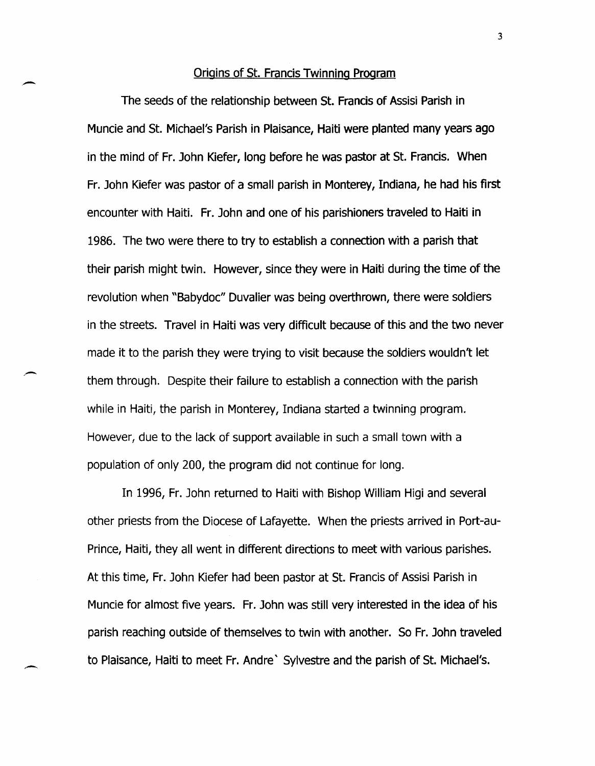#### Origins of St. Francis Twinning Program

-

-

The seeds of the relationship between St. Francis of Assisi Parish in Muncie and St. Michael's Parish in Plaisance, Haiti were planted many years ago in the mind of Fr. John Kiefer, long before he was pastor at St. Francis. When Fr. John Kiefer was pastor of a small parish in Monterey, Indiana, he had his first encounter with Haiti. Fr. John and one of his parishioners traveled to Haiti in 1986. The two were there to try to establish a connection with a parish that their parish might twin. However, since they were in Haiti during the time of the revolution when "Babydoc" Duvalier was being overthrown, there were soldiers in the streets. Travel in Haiti was very difficult because of this and the two never made it to the parish they were trying to visit because the soldiers wouldn't let them through. Despite their failure to establish a connection with the parish while in Haiti, the parish in Monterey, Indiana started a twinning program. However, due to the lack of support available in such a small town with a population of only 200, the program did not continue for long.

In 1996, Fr. John returned to Haiti with Bishop William Higi and several other priests from the Diocese of Lafayette. When the priests arrived in Port-au-Prince, Haiti, they all went in different directions to meet with various parishes. At this time, Fr. John Kiefer had been pastor at St. Francis of Assisi Parish in Muncie for almost five years. Fr. John was still very interested in the idea of his parish reaching outside of themselves to twin with another. So Fr. John traveled to Plaisance, Haiti to meet Fr. Andre' Sylvestre and the parish of St. Michael's.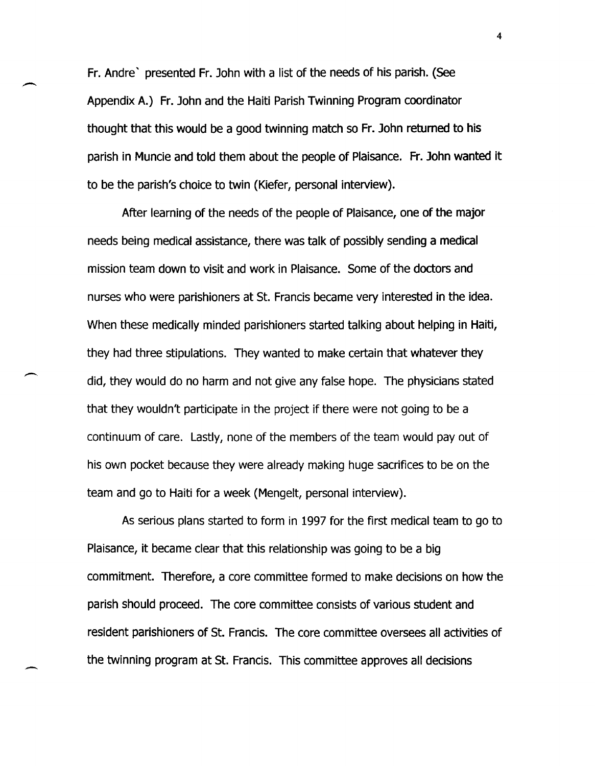Fr. Andre' presented Fr. John with a list of the needs of his parish. (See Appendix A.) Fr. John and the Haiti Parish Twinning Program coordinator thought that this would be a good twinning match so Fr. John returned to his parish in Muncie and told them about the people of Plaisance. Fr. John wanted it to be the parish's choice to twin (Kiefer, personal interview).

After learning of the needs of the people of Plaisance, one of the major needs being medical assistance, there was talk of possibly sending a medical mission team down to visit and work in Plaisance. Some of the doctors and nurses who were parishioners at St. Francis became very interested in the idea. When these medically minded parishioners started talking about helping in Haiti, they had three stipulations. They wanted to make certain that whatever they did, they would do no harm and not give any false hope. The physicians stated that they wouldn't participate in the project if there were not going to be a continuum of care. Lastly, none of the members of the team would payout of his own pocket because they were already making huge sacrifices to be on the team and go to Haiti for a week (Mengelt, personal interview).

As serious plans started to form in 1997 for the first medical team to go to Plaisance, it became clear that this relationship was going to be a big commitment. Therefore, a core committee formed to make decisions on how the parish should proceed. The core committee consists of various student and resident parishioners of St. Francis. The core committee oversees all activities of the twinning program at St. Francis. This committee approves all decisions

-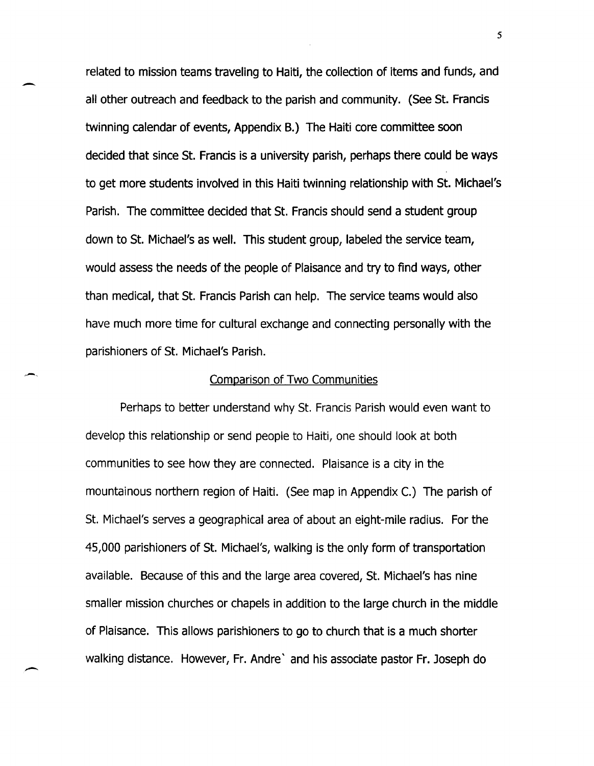related to mission teams traveling to Haiti, the collection of items and funds, and all other outreach and feedback to the parish and community. (See St. Francis twinning calendar of events, Appendix B.) The Haiti core committee soon decided that since St. Francis is a university parish, perhaps there could be ways to get more students involved in this Haiti twinning relationship with St. Michael's Parish. The committee decided that St. Francis should send a student group down to St. Michael's as well. This student group, labeled the service team, would assess the needs of the people of Plaisance and try to find ways, other than medical, that St. Francis Parish can help. The service teams would also have much more time for cultural exchange and connecting personally with the parishioners of St. Michael's Parish.

-

-

#### Comparison of Two Communities

Perhaps to better understand why St. Francis Parish would even want to develop this relationship or send people to Haiti, one should look at both communities to see how they are connected. Plaisance is a city in the mountainous northern region of Haiti. (See map in Appendix C.) The parish of St. Michael's serves a geographical area of about an eight-mile radius. For the 45,000 parishioners of St. Michael's, walking is the only form of transportation available. Because of this and the large area covered, St. Michael's has nine smaller mission churches or chapels in addition to the large church in the middle of Plaisance. This allows parishioners to go to church that is a much shorter walking distance. However, Fr. Andre' and his associate pastor Fr. Joseph do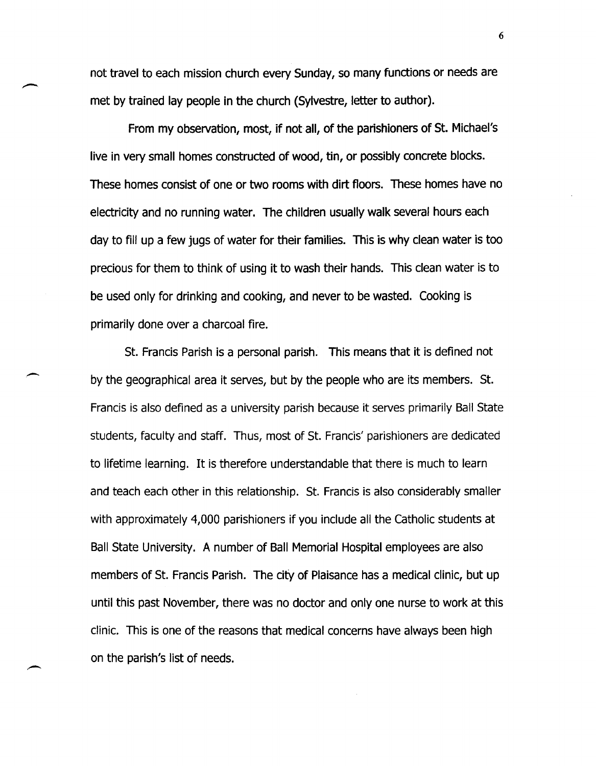not travel to each mission church every Sunday, so many functions or needs are met by trained lay people in the church (Sylvestre, letter to author).

From my observation, most, if not all, of the parishioners of St. Michael's live in very small homes constructed of wood, tin, or possibly concrete blocks. These homes consist of one or two rooms with dirt floors. These homes have no electricity and no running water. The children usually walk several hours each day to fill up a few jugs of water for their families. This is why clean water is too precious for them to think of using it to wash their hands. This clean water is to be used only for drinking and cooking, and never to be wasted. Cooking is primarily done over a charcoal fire.

St. Francis Parish is a personal parish. This means that it is defined not by the geographical area it serves, but by the people who are its members. St. Francis is also defined as a university parish because it serves primarily Ball State students, faculty and staff. Thus, most of St. Francis' parishioners are dedicated to lifetime learning. It is therefore understandable that there is much to learn and teach each other in this relationship. St. Francis is also considerably smaller with approximately 4,000 parishioners if you include all the Catholic students at Ball State University. A number of Ball Memorial Hospital employees are also members of St. Francis Parish. The city of Plaisance has a medical clinic, but up until this past November, there was no doctor and only one nurse to work at this clinic. This is one of the reasons that medical concerns have always been high on the parish's list of needs.

-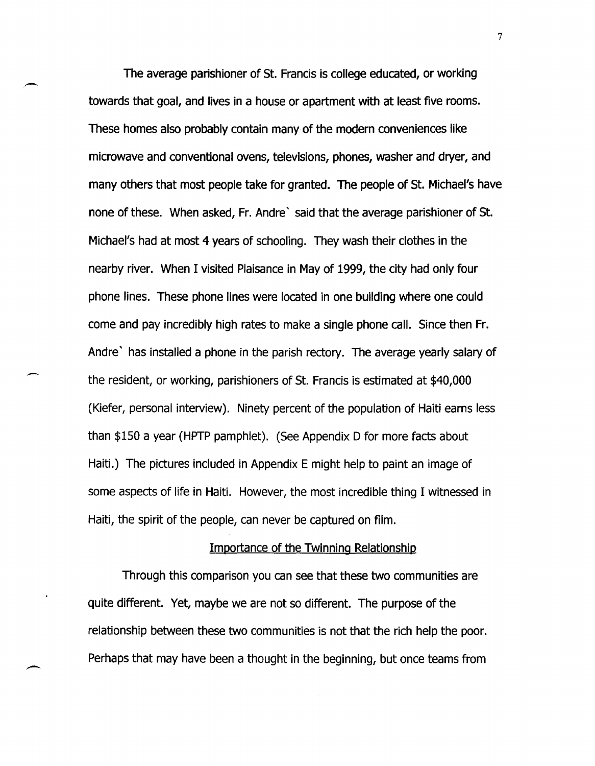The average parishioner of St. Francis is college educated, or working towards that goal, and lives in a house or apartment with at least five rooms. These homes also probably contain many·of the modern conveniences like microwave and conventional ovens, televisions, phones, washer and dryer, and many others that most people take for granted. The people of St. Michael's have none of these. When asked, Fr. Andre' said that the average parishioner of St. Michael's had at most 4 years of schooling. They wash their clothes in the nearby river. When I visited Plaisance in May of 1999, the city had only four phone lines. These phone lines were located in one building where one could come and pay incredibly high rates to make a single phone call. Since then Fr. Andre' has installed a phone in the parish rectory. The average yearly salary of the reSident, or working, parishioners of St. Francis is estimated at \$40,000 (Kiefer, personal interview). Ninety percent of the population of Haiti earns less than \$150 a year (HPTP pamphlet). (See Appendix 0 for more facts about Haiti.) The pictures included in Appendix E might help to paint an image of some aspects of life in Haiti. However, the most incredible thing I witnessed in Haiti, the spirit of the people, can never be captured on film.

#### Importance of the Twinning Relationship

Through this comparison you can see that these two communities are quite different. Yet, maybe we are not so different. The purpose of the relationship between these two communities is not that the rich help the poor. Perhaps that may have been a thought in the beginning, but once teams from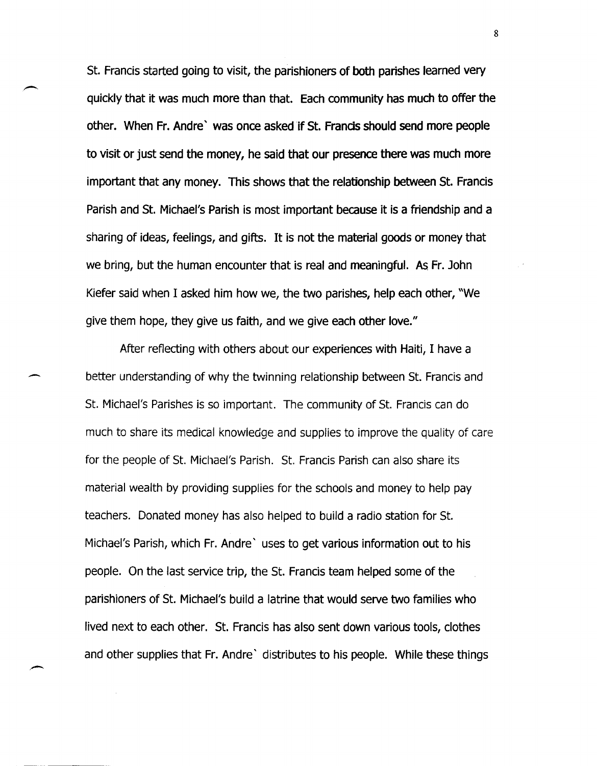St. Francis started going to visit, the parishioners of both parishes learned very quickly that it was much more than that. Each community has much to offer the other. When Fr. Andre' was once asked if St. Francis should send more people to visit or just send the money, he said that our presence there was much more important that any money. This shows that the relationship between St. Francis Parish and St. Michael's Parish is most important because it is a friendship and a sharing of ideas, feelings, and gifts. It is not the material goods or money that we bring, but the human encounter that is real and meaningful. As Fr. John Kiefer said when I asked him how we, the two parishes, help each other, "We give them hope, they give us faith, and we give each other love."

After reflecting with others about our experiences with Haiti, I have a better understanding of why the twinning relationship between st. Francis and St. Michael's Parishes is so important. The community of St. Francis can do much to share its medical knowledge and supplies to improve the quality of care for the people of St. Michael's Parish. St. Francis Parish can also share its material wealth by providing supplies for the schools and money to help pay teachers. Donated money has also helped to build a radio station for St. Michael's Parish, which Fr. Andre' uses to get various information out to his people. On the last service trip, the St. Francis team helped some of the parishioners of St. Michael's build a latrine that would serve two families who lived next to each other. St. Francis has also sent down various tools, clothes and other supplies that Fr. Andre' distributes to his people. While these things

-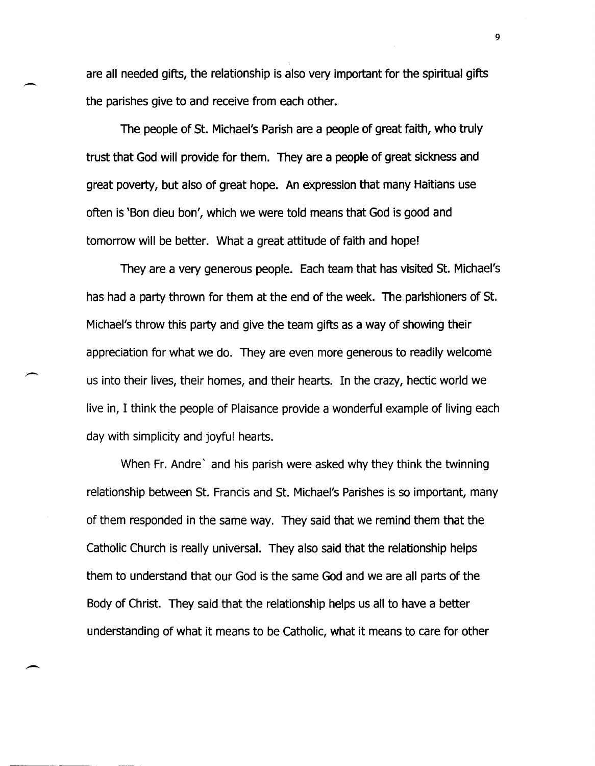are all needed gifts, the relationship is also very important for the spiritual gifts the parishes give to and receive from each other.

-

 $\overline{\phantom{a}}$ 

The people of St. Michael's Parish are a people of great faith, who truly trust that God will provide for them. They are a people of great sickness and great poverty, but also of great hope. An expression that many Haitians use often is 'Bon dieu bon', which we were told means that God is good and tomorrow will be better. What a great attitude of faith and hope!

They are a very generous people. Each team that has visited St. Michael's has had a party thrown for them at the end of the week. The parishioners of St. Michael's throw this party and give the team gifts as a way of showing their appreciation for what we do. They are even more generous to readily welcome us into their lives, their homes, and their hearts. In the crazy, hectic world we live in, I think the people of Plaisance provide a wonderful example of living each day with simplicity and joyful hearts.

When Fr. Andre' and his parish were asked why they think the twinning relationship between St. Francis and St. Michael's Parishes is so important, many of them responded in the same way. They said that we remind them that the Catholic Church is really universal. They also said that the relationship helps them to understand that our God is the same God and we are all parts of the Body of Christ. They said that the relationship helps us all to have a better understanding of what it means to be Catholic, what it means to care for other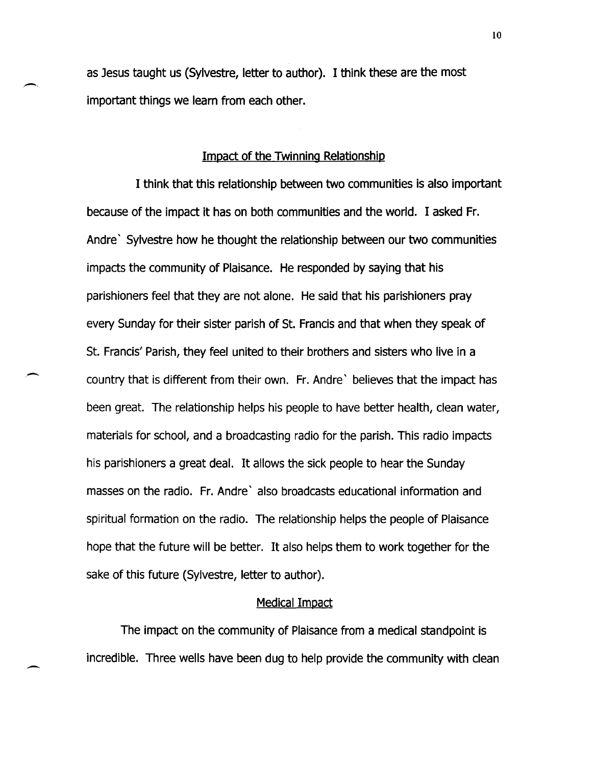as Jesus taught us (Sylvestre, letter to author). I think these are the most important things we learn from each other.

#### Impact of the Twinning Relationship

I think that this relationship between two communities is also important because of the impact it has on both communities and the world. I asked Fr. Andre' Sylvestre how he thought the relationship between our two communities impacts the community of Plaisance. He responded by saying that his parishioners feel that they are not alone. He said that his parishioners pray every Sunday for their sister parish of St. Francis and that when they speak of St. Francis' Parish, they feel united to their brothers and sisters who live in a country that is different from their own. Fr. Andre' believes that the impact has been great. The relationship helps his people to have better health, clean water, materials for school, and a broadcasting radio for the parish. This radio impacts his parishioners a great deal. It allows the sick people to hear the Sunday masses on the radio. Fr. Andre' also broadcasts educational information and spiritual formation on the radio. The relationship helps the people of Plaisance hope that the future will be better. It also helps them to work together for the sake of this future (Sylvestre, letter to author).

 $\overline{\phantom{0}}$ 

-

#### Medical Impact

The impact on the community of Plaisance from a medical standpoint is incredible. Three wells have been dug to help provide the community with clean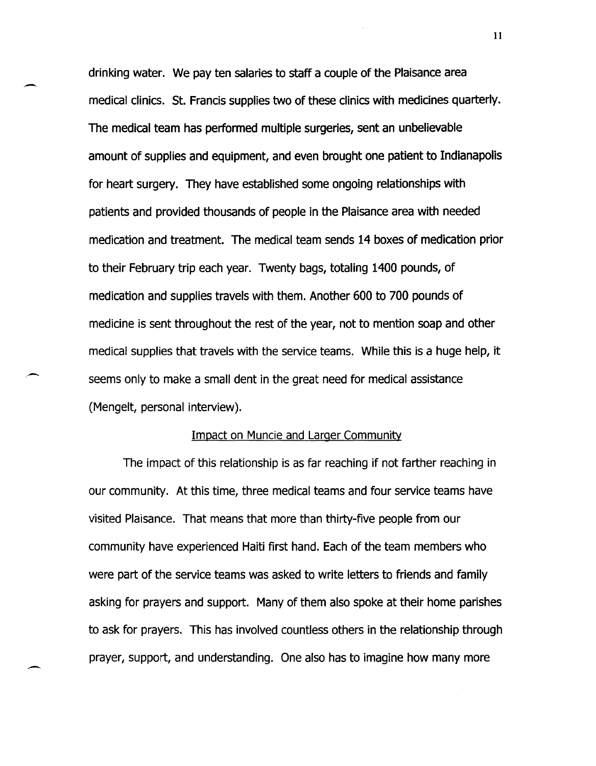drinking water. We pay ten salaries to staff a couple of the Plaisance area medical clinics. St. Francis supplies two of these clinics with medicines quarterly. The medical team has performed multiple surgeries, sent an unbelievable amount of supplies and equipment, and even brought one patient to Indianapolis for heart surgery. They have established some ongoing relationships with patients and provided thousands of people in the Plaisance area with needed medication and treatment. The medical team sends 14 boxes of medication prior to their February trip each year. Twenty bags, totaling 1400 pounds, of medication and supplies travels with them. Another 600 to 700 pounds of medicine is sent throughout the rest of the year, not to mention soap and other medical supplies that travels with the service teams. While this is a huge help, it seems only to make a small dent in the great need for medical assistance (Mengelt, personal interview).

#### Impact on Muncie and Larger Community

,-

 $\overline{\phantom{0}}$ 

The impact of this relationship is as far reaching if not farther reaching in our community. At this time, three medical teams and four service teams have visited Plaisance. That means that more than thirty-five people from our community have experienced Haiti first hand. Each of the team members who were part of the service teams was asked to write letters to friends and family asking for prayers and support. Many of them also spoke at their home parishes to ask for prayers. This has involved countless others in the relationship through prayer, support, and understanding. One also has to imagine how many more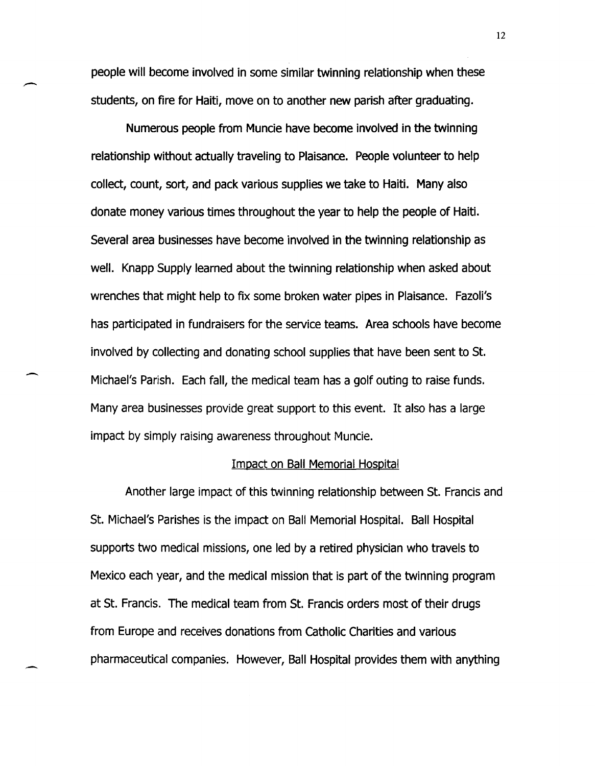people will become involved in some similar twinning relationship when these students, on fire for Haiti, move on to another new parish after graduating.

-

-.

.<br>.<br>-

Numerous people from Muncie have become involved in the twinning relationship without actually traveling to Plaisance. People volunteer to help collect, count, sort, and pack various supplies we take to Haiti. Many also donate money various times throughout the year to help the people of Haiti. Several area businesses have become involved in the twinning relationship as well. Knapp Supply learned about the twinning relationship when asked about wrenches that might help to fix some broken water pipes in Plaisance. Fazoli's has participated in fundraisers for the service teams. Area schools have become involved by collecting and donating school supplies that have been sent to St. Michael's Parish. Each fall, the medical team has a golf outing to raise funds. Many area businesses provide great support to this event. It also has a large impact by simply raising awareness throughout Muncie.

#### Impact on Ball Memorial Hospital

Another large impact of this twinning relationship between St. Francis and St. Michael's Parishes is the impact on Ball Memorial Hospital. Ball Hospital supports two medical missions, one led by a retired physician who travels to Mexico each year, and the medical mission that is part of the twinning program at St. Francis. The medical team from St. Francis orders most of their drugs from Europe and receives donations from Catholic Charities and various pharmaceutical companies. However, Ball Hospital provides them with anything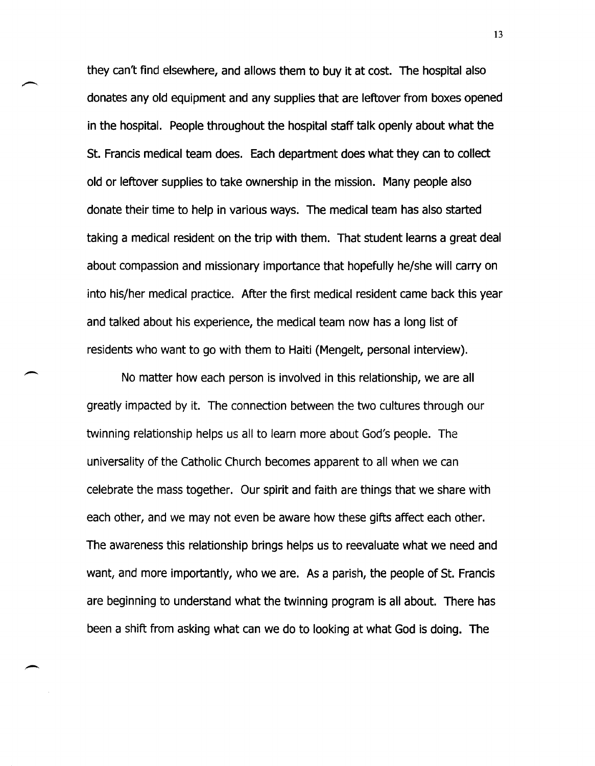they can't find elsewhere, and allows them to buy it at cost. The hospital also donates any old equipment and any supplies that are leftover from boxes opened in the hospital. People throughout the hospital staff talk openly about what the St. Francis medical team does. Each department does what they can to collect old or leftover supplies to take ownership in the mission. Many people also donate their time to help in various ways. The medical team has also started taking a medical resident on the trip with them. That student learns a great deal about compassion and missionary importance that hopefully he/she will carry on into his/her medical practice. After the first medical resident came back this year and talked about his experience, the medical team now has a long list of residents who want to go with them to Haiti (Mengelt, personal interview).

No matter how each person is involved in this relationship, we are all greatly impacted by it. The connection between the two cultures through our twinning relationship helps us all to learn more about God's people. The universality of the Catholic Church becomes apparent to all when we can celebrate the mass together. Our spirit and faith are things that we share with each other, and we may not even be aware how these gifts affect each other. The awareness this relationship brings helps us to reevaluate what we need and want, and more importantly, who we are. As a parish, the people of St. Francis are beginning to understand what the twinning program is all about. There has been a shift from asking what can we do to looking at what God is doing. The

,-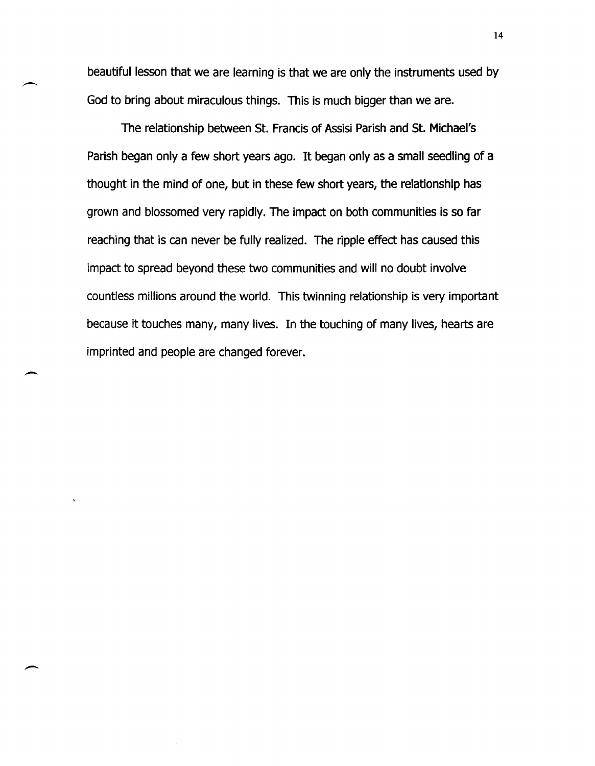beautiful lesson that we are learning is that we are only the instruments used by God to bring about miraculous things. This is much bigger than we are.

The relationship between St. Francis of Assisi Parish and St. Michael's Parish began only a few short years ago. It began only as a small seedling of a thought in the mind of one, but in these few short years, the relationship has grown and blossomed very rapidly. The impact on both communities is so far reaching that is can never be fully realized. The ripple effect has caused this impact to spread beyond these two communities and will no doubt involve countless millions around the world. This twinning relationship is very important because it touches many, many lives. In the touching of many lives, hearts are imprinted and people are changed forever.

 $\overline{\phantom{a}}$ 

 $\overline{\phantom{a}}$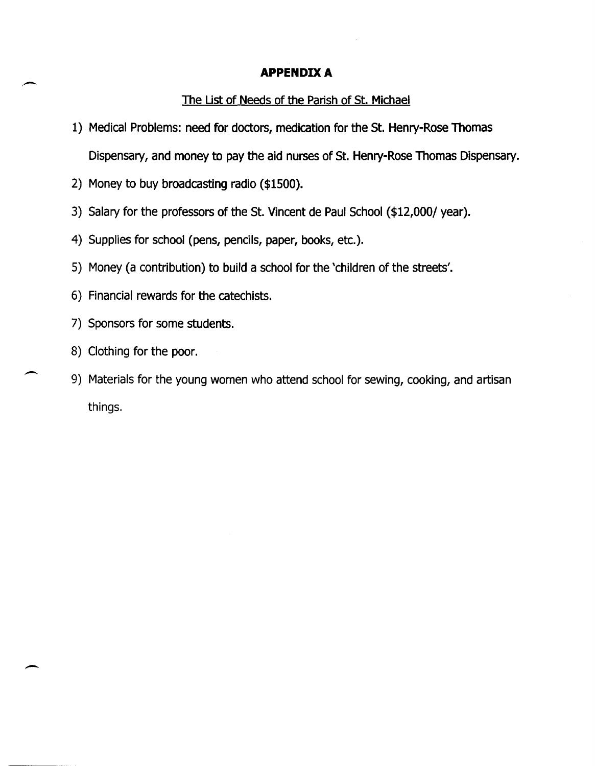# APPENDIX A

## The List of Needs of the Parish of St. Michael

- 1) Medical Problems: need for doctors, medication for the St. Henry-Rose Thomas Dispensary, and money to pay the aid nurses of St. Henry-Rose Thomas Dispensary.
- 2) Money to buy broadcasting radio (\$1500).
- 3) Salary for the professors of the St. Vincent de Paul School (\$12,000/ year).
- 4) Supplies for school (pens, pencils, paper, books, etc.).
- 5) Money (a contribution) to build a school for the 'children of the streets'.
- 6) Financial rewards for the catechists.
- 7) Sponsors for some students.
- 8) Clothing for the poor.

 $\overline{\phantom{0}}$ 

 $\overline{\phantom{a}}$ 

9) Materials for the young women who attend school for sewing, cooking, and artisan things.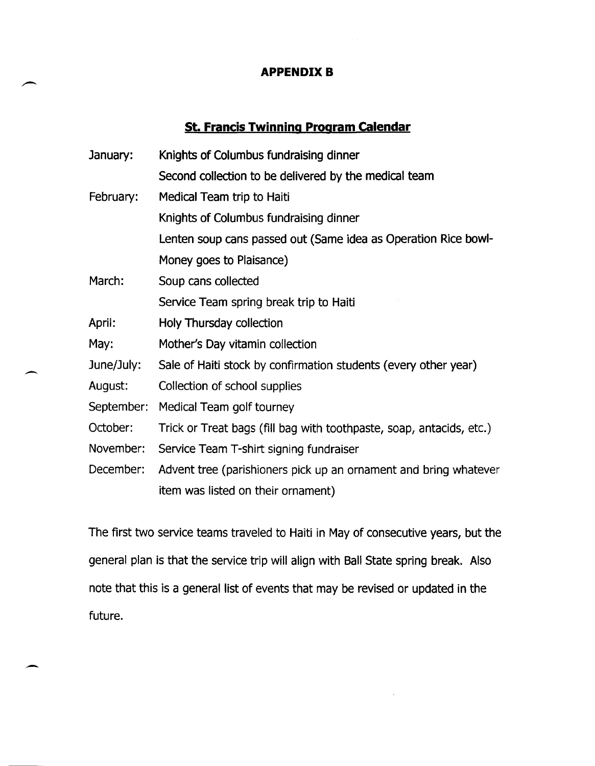### **APPENDIX B**

# **St. Francis Twinning Program calendar**

| January:   | Knights of Columbus fundraising dinner                               |
|------------|----------------------------------------------------------------------|
|            | Second collection to be delivered by the medical team                |
| February:  | Medical Team trip to Haiti                                           |
|            | Knights of Columbus fundraising dinner                               |
|            | Lenten soup cans passed out (Same idea as Operation Rice bowl-       |
|            | Money goes to Plaisance)                                             |
| March:     | Soup cans collected                                                  |
|            | Service Team spring break trip to Haiti                              |
| April:     | Holy Thursday collection                                             |
| May:       | Mother's Day vitamin collection                                      |
| June/July: | Sale of Haiti stock by confirmation students (every other year)      |
| August:    | Collection of school supplies                                        |
| September: | Medical Team golf tourney                                            |
| October:   | Trick or Treat bags (fill bag with toothpaste, soap, antacids, etc.) |
| November:  | Service Team T-shirt signing fundraiser                              |
| December:  | Advent tree (parishioners pick up an ornament and bring whatever     |
|            | item was listed on their ornament)                                   |

 $\overline{\phantom{0}}$ 

-

The first two service teams traveled to Haiti in May of consecutive years, but the general plan is that the service trip will align with Ball State spring break. Also note that this is a general list of events that may be revised or updated in the future.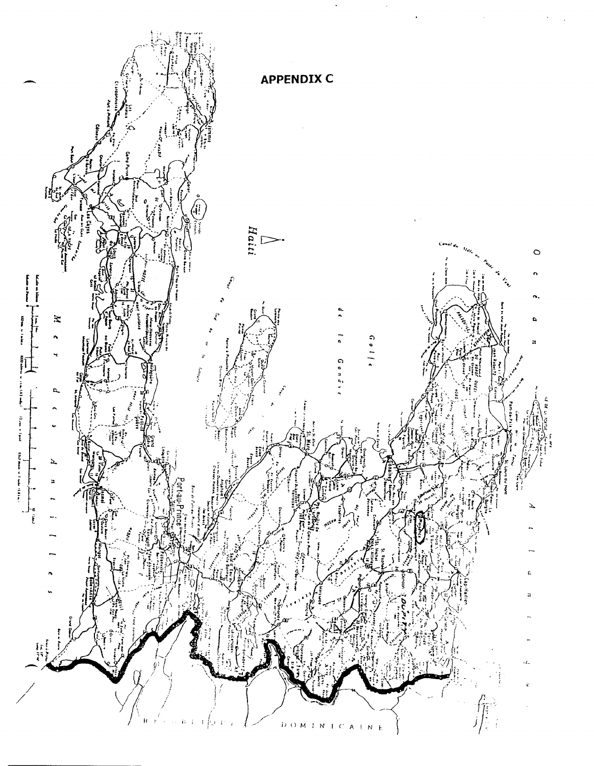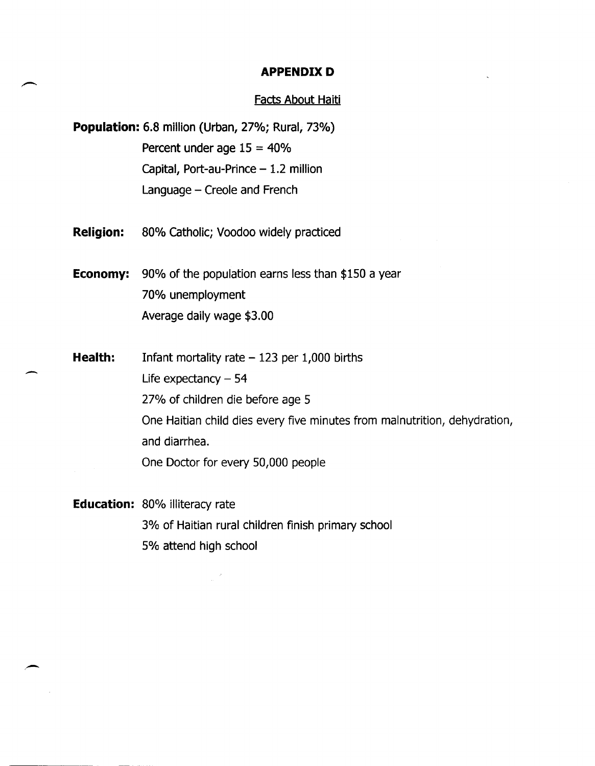#### **APPENDIX D**

#### Facts About Haiti

**Population:** 6.8 million (Urban, 27%; Rural, 73%) Percent under age 15 = 40% Capital, Port-au-Prince  $-1.2$  million Language - Creole and French

**Religion:** 80% Catholic; Voodoo widely practiced

-

**Economy:** 90% of the population earns less than \$150 a year 70% unemployment Average daily wage \$3.00

**Health:**  Infant mortality rate  $-123$  per 1,000 births Life expectancy  $-54$ 27% of children die before age 5 One Haitian child dies every five minutes from malnutrition, dehydration, and diarrhea. One Doctor for every 50,000 people

**Education:** 80% illiteracy rate 3% of Haitian rural children finish primary school 5% attend high school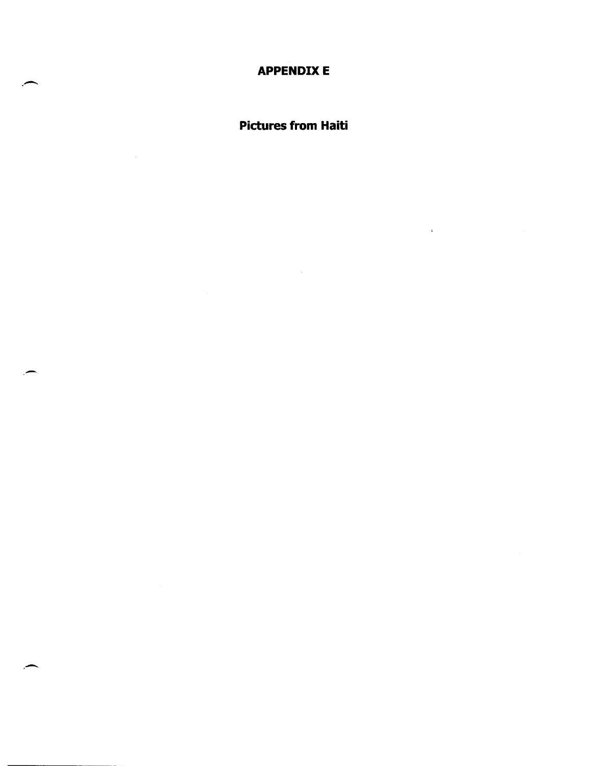**APPENDIXE** 

**Pictures from Haiti** 

 $\bar{z}$ 

 $\ddot{\bullet}$ 

 $\bar{\beta}$ 

,-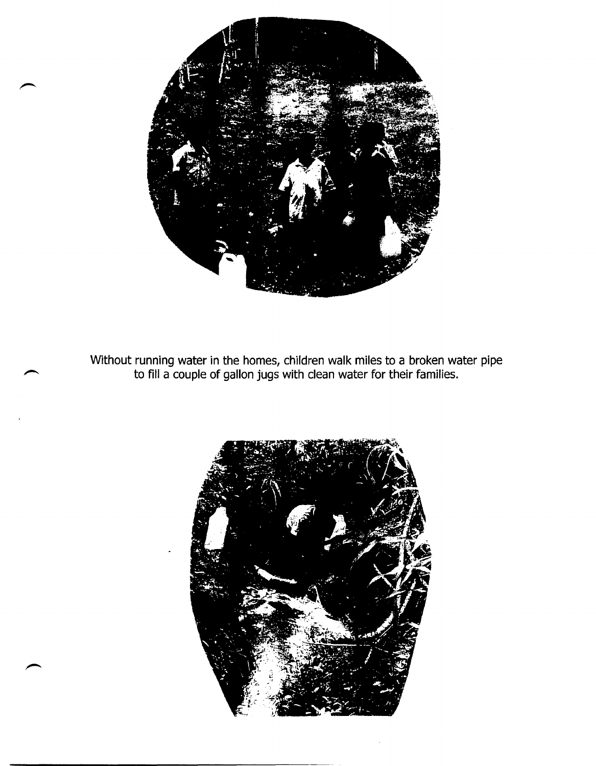

Without running water in the homes, children walk miles to a broken water pipe to fill a couple of gallon jugs with clean water for their families.

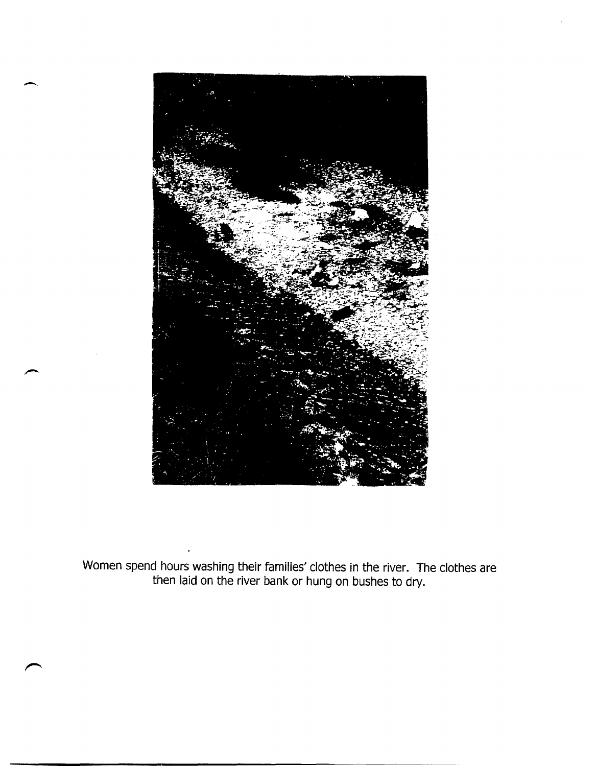

-.

Women spend hours washing their families' clothes in the river. The clothes are then laid on the river bank or hung on bushes to dry.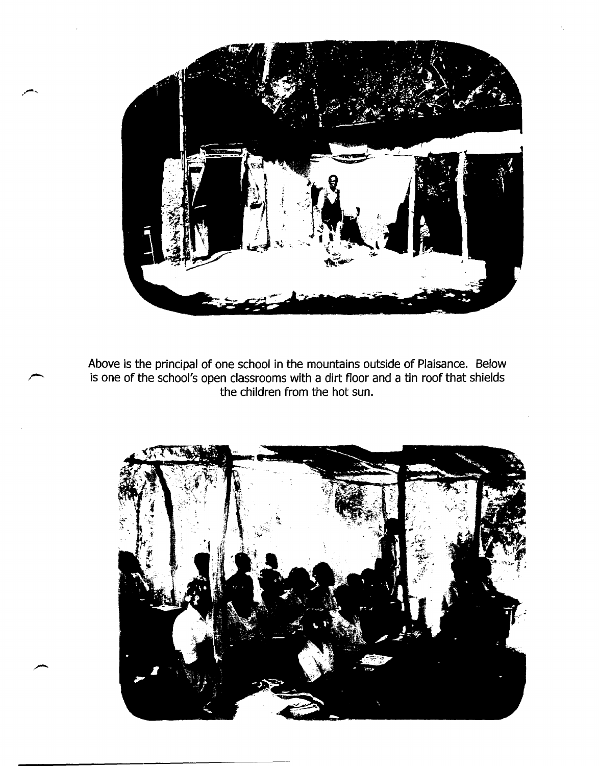

Above is the principal of one school in the mountains outside of Plaisance. Below is one of the school's open classrooms with a dirt floor and a tin roof that shields the children from the hot sun.

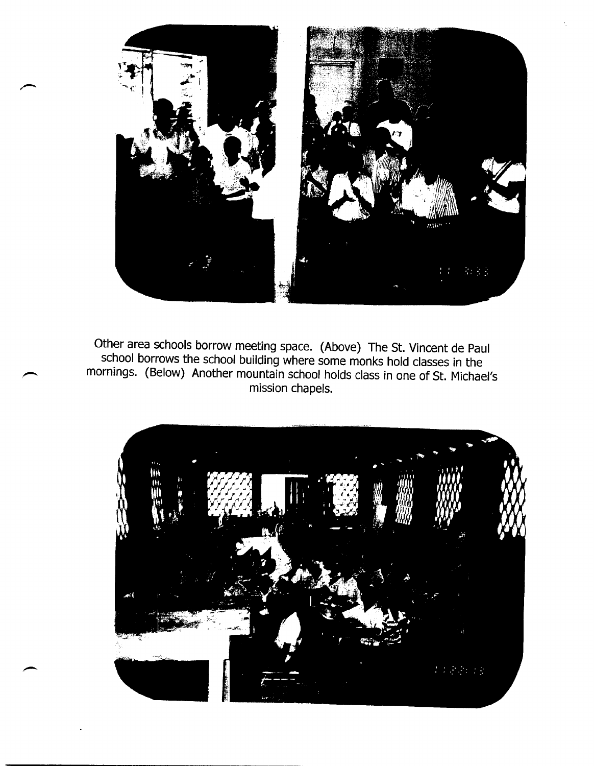

Other area schools borrow meeting space. (Above) The St. Vincent de Paul school borrows the school building where some monks hold classes in the mornings. (Below) Another mountain school holds class in one of St. Michael's mission chapels.

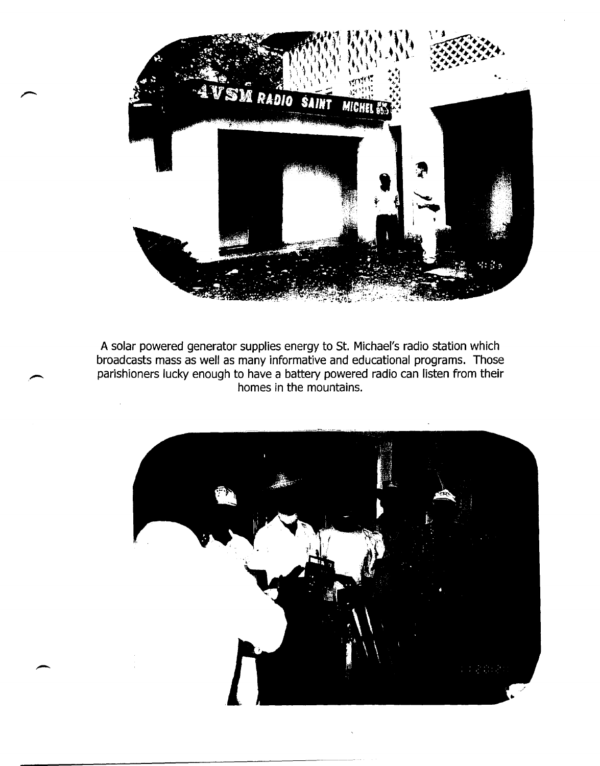

A solar powered generator supplies energy to St. Michael's radio station which broadcasts mass as well as many informative and educational programs. Those parishioners lucky enough to have a battery powered radio can listen from their homes in the mountains.